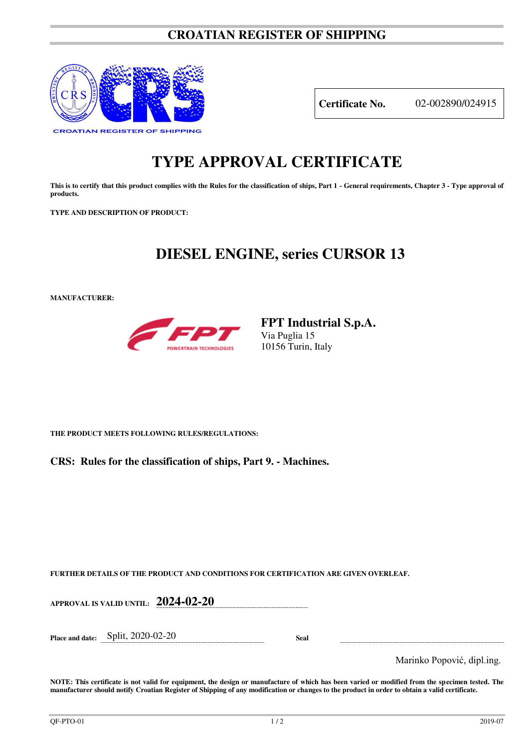### **CROATIAN REGISTER OF SHIPPING**



**Certificate No.** 02-002890/024915

# **TYPE APPROVAL CERTIFICATE**

This is to certify that this product complies with the Rules for the classification of ships, Part 1 - General requirements, Chapter 3 - Type approval of **products.** 

**TYPE AND DESCRIPTION OF PRODUCT:** 

## **DIESEL ENGINE, series CURSOR 13**

**MANUFACTURER:**



**FPT Industrial S.p.A.**  Via Puglia 15 10156 Turin, Italy

**THE PRODUCT MEETS FOLLOWING RULES/REGULATIONS:**

**CRS: Rules for the classification of ships, Part 9. - Machines.**

**FURTHER DETAILS OF THE PRODUCT AND CONDITIONS FOR CERTIFICATION ARE GIVEN OVERLEAF.**

**APPROVAL IS VALID UNTIL: 2024-02-20 Place and date:** Split, 2020-02-20 **Seal**  Marinko Popović, dipl.ing.

**NOTE: This certificate is not valid for equipment, the design or manufacture of which has been varied or modified from the specimen tested. The manufacturer should notify Croatian Register of Shipping of any modification or changes to the product in order to obtain a valid certificate.**